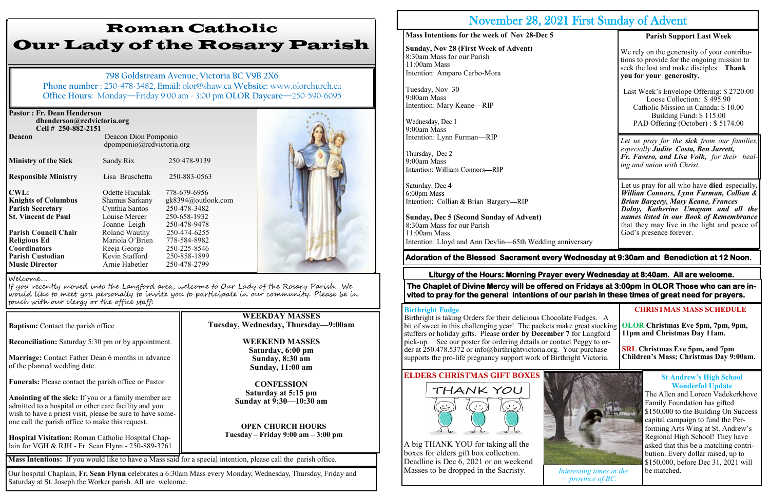dpomponio@rcdvictoria.org **Ministry of the Sick** Sandy Rix 250 478-9139 **Responsible Ministry** Lisa Bruschetta 250-883-0563 **CWL:** Odette Huculak 778-679-6956 **Knights of Columbus** Shamus Sarkany gk8394@outlook.com **Parish Secretary** Cynthia Santos 250-478-3482 **St. Vincent de Paul** Louise Mercer 250-658-1932 Joanne Leigh 250-478-9478<br>Roland Wauthy 250-474-6255 **Parish Council Chair** Roland Wauthy 250-474-6255 **Religious Ed Mariola O'Brien 778-584-8982 Coordinators** Reeja George 250-225-8546<br> **Parish Custodian** Kevin Stafford 250-858-1899 **Parish Custodian Revin Stafford** 250-858-1899<br> **Music Director Arnie Habetler** 250-478-2799 **Music Director Arnie Habetler** 



**Baptism:** Contact the parish office **Reconciliation:** Saturday 5:30 pm or by appointment. **Marriage:** Contact Father Dean 6 months in advance of the planned wedding date. **Funerals:** Please contact the parish office or Pastor **Anointing of the sick:** If you or a family member are admitted to a hospital or other care facility and you wish to have a priest visit, please be sure to have someone call the parish office to make this request. **Hospital Visitation:** Roman Catholic Hospital Chaplain for VGH & RJH - Fr. Sean Flynn - 250-889-3761

# Roman Catholic Our Lady of the Rosary Parish

**798 Goldstream Avenue, Victoria BC V9B 2X6 Phone number :** 250-478-3482, **Email:** olor@shaw.ca **Website:** www.olorchurch.ca **Office Hours:** Monday—Friday 9:00 am - 3:00 pm **OLOR Daycare**—250-590-6095

#### **Pastor : Fr. Dean Henderson dhenderson@rcdvictoria.org Cell # 250-882-2151 Deacon Deacon Dion Pomponio**

**WEEKDAY MASSES Tuesday, Wednesday, Thursday—9:00am**

> **WEEKEND MASSES Saturday, 6:00 pm Sunday, 8:30 am Sunday, 11:00 am**

**CONFESSION Saturday at 5:15 pm Sunday at 9:30—10:30 am**

**OPEN CHURCH HOURS Tuesday – Friday 9:00 am – 3:00 pm**

#### Welcome….

If you recently moved into the Langford area, welcome to Our Lady of the Rosary Parish. We would like to meet you personally to invite you to participate in our community. Please be in touch with our clergy or the office staff:

**Mass Intentions:** If you would like to have a Mass said for a special intention, please call the parish office.

#### Our hospital Chaplain, **Fr. Sean Flynn** celebrates a 6:30am Mass every Monday, Wednesday, Thursday, Friday and Saturday at St. Joseph the Worker parish. All are welcome.

# November 28, 2021 First Sunday of Advent

#### **Mass Intentions for the week of Nov 28-Dec 5**

**Sunday, Nov 28 (First Week of Advent)** 8:30am Mass for our Parish 11:00am Mass Intention: Amparo Carbo-Mora

Tuesday, Nov 30 9:00am Mass Intention: Mary Keane—RIP

9:00am Mass Intention: Lynn Furman—RIP

9:00am Mass<br>Intention: William Connors—RIP

Saturday, Dec 4 6:00pm Mass Intention: Collian & Brian Bargery-RIP

**Sunday, Dec 5 (Second Sunday of Advent)** 8:30am Mass for our Parish 11:00am Mass Intention: Lloyd and Ann Devlin—65th Wedding anniversary

#### **Parish Support Last Week**

We rely on the generosity of your contributions to provide for the ongoing mission to seek the lost and make disciples . **Thank you for your generosity.**

Last Week's Envelope Offering: \$ 2720.00 Loose Collection: \$ 495.90 Catholic Mission in Canada: \$ 10.00 Building Fund: \$ 115.00 PAD Offering (October) : \$ 5174.00

### **Adoration of the Blessed Sacrament every Wednesday at 9:30am and Benediction at 12 Noon.**

*Let us pray for the sick from our families, especially Judite Costa, Ben Jarrett, Fr. Favero, and Lisa Volk, for their healing and union with Christ.*

Let us pray for all who have **died** especially*, Willian Connors, Lynn Furman, Collian & Brian Bargery, Mary Keane, Frances Dolny, Katherine Umayam and all the names listed in our Book of Remembrance*  that they may live in the light and peace of God's presence forever.

# **ELDERS CHRISTMAS GIFT BOXES**





#### **Liturgy of the Hours: Morning Prayer every Wednesday at 8:40am. All are welcome.**

#### **Birthright Fudge**.

Birthright is taking Orders for their delicious Chocolate Fudges. A bit of sweet in this challenging year! The packets make great stocking stuffers or holiday gifts. Please **order by December 7** for Langford pick-up. See our poster for ordering details or contact Peggy to order at 250.478.5372 or info@birthrightvictoria.org. Your purchase supports the pro-life pregnancy support work of Birthright Victoria. **OLOR Christmas Eve 5pm, 7pm, 9pm, 11pm and Christmas Day 11am. SRL Christmas Eve 5pm, and 7pm Children's Mass; Christmas Day 9:00am.**

#### **CHRISTMAS MASS SCHEDULE**

**The Chaplet of Divine Mercy will be offered on Fridays at 3:00pm in OLOR Those who can are invited to pray for the general intentions of our parish in these times of great need for prayers.** 



*Interesting times in the province of BC.*

#### **St Andrew's High School Wonderful Update**

The Allen and Loreen Vadekerkhove Family Foundation has gifted \$150,000 to the Building On Success capital campaign to fund the Performing Arts Wing at St. Andrew's Regional High School! They have asked that this be a matching contribution. Every dollar raised, up to \$150,000, before Dec 31, 2021 will be matched.